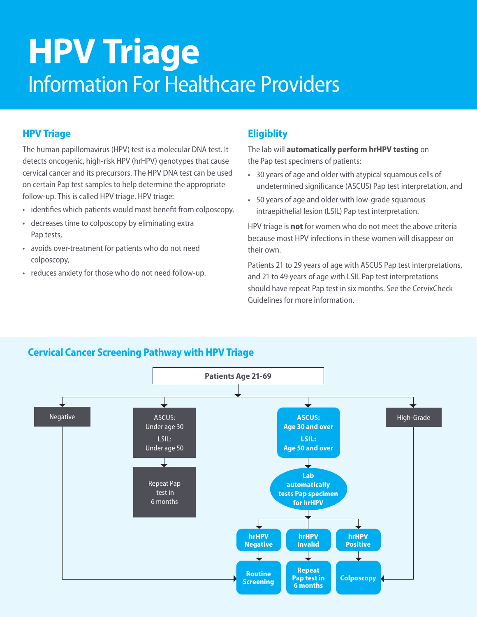# **HPV Triage**  Information For Healthcare Providers

## **HPV Triage**

The human papillomavirus (HPV) test is a molecular DNA test. It detects oncogenic, high-risk HPV (hrHPV) genotypes that cause cervical cancer and its precursors. The HPV DNA test can be used on certain Pap test samples to help determine the appropriate follow-up. This is called HPV triage. HPV triage:

- identifies which patients would most benefit from colposcopy,
- decreases time to colposcopy by eliminating extra Pap tests,
- avoids over-treatment for patients who do not need colposcopy,
- reduces anxiety for those who do not need follow-up.

## **Eligiblity**

The lab will **automatically perform hrHPV testing** on the Pap test specimens of patients:

- 30 years of age and older with atypical squamous cells of undetermined significance (ASCUS) Pap test interpretation, and
- 50 years of age and older with low-grade squamous intraepithelial lesion (LSIL) Pap test interpretation.

HPV triage is **not** for women who do not meet the above criteria because most HPV infections in these women will disappear on their own.

Patients 21 to 29 years of age with ASCUS Pap test interpretations, and 21 to 49 years of age with LSIL Pap test interpretations should have repeat Pap test in six months. See the CervixCheck Guidelines for more information.



## **Cervical Cancer Screening Pathway with HPV Triage**